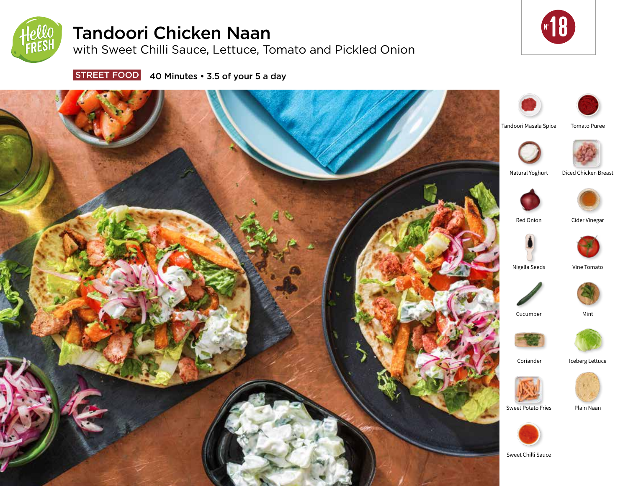

# Tandoori Chicken Naan

with Sweet Chilli Sauce, Lettuce, Tomato and Pickled Onion



**STREET FOOD** 40 Minutes • 3.5 of your 5 a day